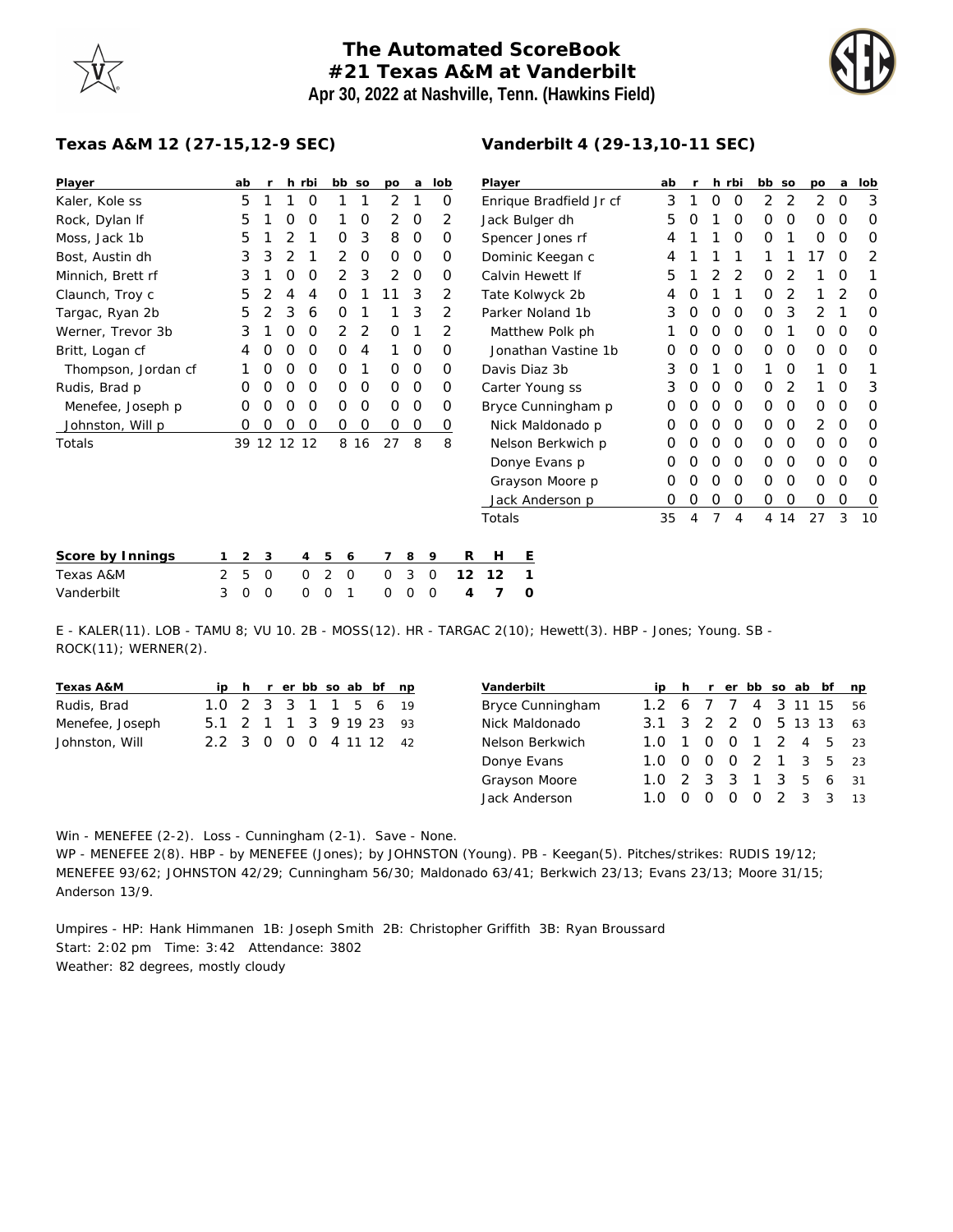## **The Automated ScoreBook #21 Texas A&M at Vanderbilt Apr 30, 2022 at Nashville, Tenn. (Hawkins Field)**

**Vanderbilt 4 (29-13,10-11 SEC)**



## **Texas A&M 12 (27-15,12-9 SEC)**

| Player              | ab |             | r       |   | h rbi       | bb so               |      | po       | a           | lob     | Player                  | ab |          |          | h rbi    | bb so |      | po           | a        | lob      |
|---------------------|----|-------------|---------|---|-------------|---------------------|------|----------|-------------|---------|-------------------------|----|----------|----------|----------|-------|------|--------------|----------|----------|
| Kaler, Kole ss      |    | 5           |         |   | 0           |                     |      | 2        |             | 0       | Enrique Bradfield Jr cf | 3  |          | 0        | 0        | 2     | 2    | 2            | 0        | 3        |
| Rock, Dylan If      |    | 5           |         | O | O           |                     | O    | 2        | 0           | 2       | Jack Bulger dh          | 5  | O        |          | 0        | 0     | 0    | 0            | 0        | 0        |
| Moss, Jack 1b       |    | 5           |         |   |             | 0                   | 3    | 8        | $\circ$     | O       | Spencer Jones rf        | 4  |          |          | O        | 0     |      | O            | $\Omega$ | $\Omega$ |
| Bost, Austin dh     |    | 3           | 3       | 2 |             | 2                   | 0    | 0        | 0           | 0       | Dominic Keegan c        | 4  |          |          |          |       |      | 17           | O        | 2        |
| Minnich, Brett rf   |    | 3           |         | 0 | O           | $\overline{2}$      | 3    | 2        | 0           | Ο       | Calvin Hewett If        | 5  |          |          |          | O     |      |              | O        |          |
| Claunch, Troy c     |    | 5           |         | 4 | 4           | Ο                   |      | 11       | 3           | 2       | Tate Kolwyck 2b         | 4  |          |          |          | 0     | 2    |              | 2        | $\Omega$ |
| Targac, Ryan 2b     |    | 5           | 2       | 3 | 6           | 0                   |      |          | 3           | 2       | Parker Noland 1b        | 3  | O        | $\Omega$ | $\Omega$ | 0     | 3    | 2            |          | 0        |
| Werner, Trevor 3b   |    | 3           |         | Ο | O           | 2                   | 2    | 0        |             | 2       | Matthew Polk ph         |    |          | O        | $\Omega$ | 0     |      | 0            | 0        | 0        |
| Britt, Logan cf     |    | 4           |         | ი | O           | 0                   | 4    |          | $\Omega$    | Ο       | Jonathan Vastine 1b     | Ω  |          |          | $\Omega$ | O     | O    | $\Omega$     | $\Omega$ | $\Omega$ |
| Thompson, Jordan cf |    |             | O       | Ο | O           | 0                   |      | $\Omega$ | 0           | 0       | Davis Diaz 3b           | 3  |          |          | O        |       | 0    |              | $\Omega$ |          |
| Rudis, Brad p       |    | Ο           | O       | O | 0           | 0                   | 0    | $\circ$  | 0           | 0       | Carter Young ss         | 3  | 0        | $\Omega$ | 0        | 0     | 2    |              | O        | 3        |
| Menefee, Joseph p   |    | Ο           | O       | Ω | O           | 0                   | 0    | $\Omega$ | $\Omega$    | 0       | Bryce Cunningham p      | O  |          | $\Omega$ | $\Omega$ | 0     | 0    | 0            | O        | $\Omega$ |
| Johnston, Will p    |    | O           | O       | Ο | O           | 0                   | O    | 0        | $\mathbf 0$ | O       | Nick Maldonado p        | Ο  |          |          | $\Omega$ | 0     | O    | 2            | $\Omega$ | $\Omega$ |
| Totals              |    | 39 12 12 12 |         |   |             |                     | 8 16 | 27       | 8           | 8       | Nelson Berkwich p       | O  |          | O        | $\Omega$ | 0     | 0    | 0            | O        | 0        |
|                     |    |             |         |   |             |                     |      |          |             |         | Donye Evans p           | O  |          | $\Omega$ | $\Omega$ | 0     | 0    | $\mathbf{O}$ | O        | O        |
|                     |    |             |         |   |             |                     |      |          |             |         | Grayson Moore p         | O  |          | O        | $\Omega$ | O     | O    | O            | $\Omega$ | O        |
|                     |    |             |         |   |             |                     |      |          |             |         | Jack Anderson p         | 0  | $\Omega$ | $\Omega$ | 0        | 0     | 0    | O            | 0        | $\circ$  |
|                     |    |             |         |   |             |                     |      |          |             |         | Totals                  | 35 |          |          | 4        |       | 4 14 | 27           | 3        | 10       |
| Score by Innings    |    | 2           | 3       |   | 4           | 5<br>6              |      |          | 8           | 9       | R<br>H<br>Ε             |    |          |          |          |       |      |              |          |          |
| Texas A&M           | 2  | 5           | $\circ$ |   | $\mathbf 0$ | 2<br>$\overline{0}$ |      | 0        | 3           | $\circ$ | 12<br>12                |    |          |          |          |       |      |              |          |          |

E - KALER(11). LOB - TAMU 8; VU 10. 2B - MOSS(12). HR - TARGAC 2(10); Hewett(3). HBP - Jones; Young. SB - ROCK(11); WERNER(2).

| Texas A&M       |                        |  |  |  | ip h r er bb so ab bf np |  |
|-----------------|------------------------|--|--|--|--------------------------|--|
| Rudis, Brad     | 1.0 2 3 3 1 1 5 6 19   |  |  |  |                          |  |
| Menefee, Joseph | 5.1 2 1 1 3 9 19 23 93 |  |  |  |                          |  |
| Johnston, Will  | 2.2 3 0 0 0 4 11 12 42 |  |  |  |                          |  |

Vanderbilt 3 0 0 0 0 1 0 0 0 **4 7 0**

| Vanderbilt       |                     |                  |          |                  | h r er bb so ab bf |       |             | np  |
|------------------|---------------------|------------------|----------|------------------|--------------------|-------|-------------|-----|
| Bryce Cunningham | 1.2 6 7 7 4 3 11 15 |                  |          |                  |                    |       |             | 56  |
| Nick Maldonado   | 3.1 3 2 2 0 5 13 13 |                  |          |                  |                    |       |             | 63  |
| Nelson Berkwich  | 1.0                 | $\overline{1}$   |          |                  |                    |       | 0 0 1 2 4 5 | -23 |
| Donye Evans      | 1.0                 | $\left( \right)$ | $\Omega$ |                  | 0 2 1 3 5          |       |             | -23 |
| Grayson Moore    | 1 O                 |                  |          |                  | 2 3 3 1 3 5 6      |       |             | 31  |
| Jack Anderson    |                     |                  |          | $\left( \right)$ | O                  | 2 3 3 |             | 13  |

Win - MENEFEE (2-2). Loss - Cunningham (2-1). Save - None.

WP - MENEFEE 2(8). HBP - by MENEFEE (Jones); by JOHNSTON (Young). PB - Keegan(5). Pitches/strikes: RUDIS 19/12; MENEFEE 93/62; JOHNSTON 42/29; Cunningham 56/30; Maldonado 63/41; Berkwich 23/13; Evans 23/13; Moore 31/15; Anderson 13/9.

Umpires - HP: Hank Himmanen 1B: Joseph Smith 2B: Christopher Griffith 3B: Ryan Broussard Start: 2:02 pm Time: 3:42 Attendance: 3802 Weather: 82 degrees, mostly cloudy